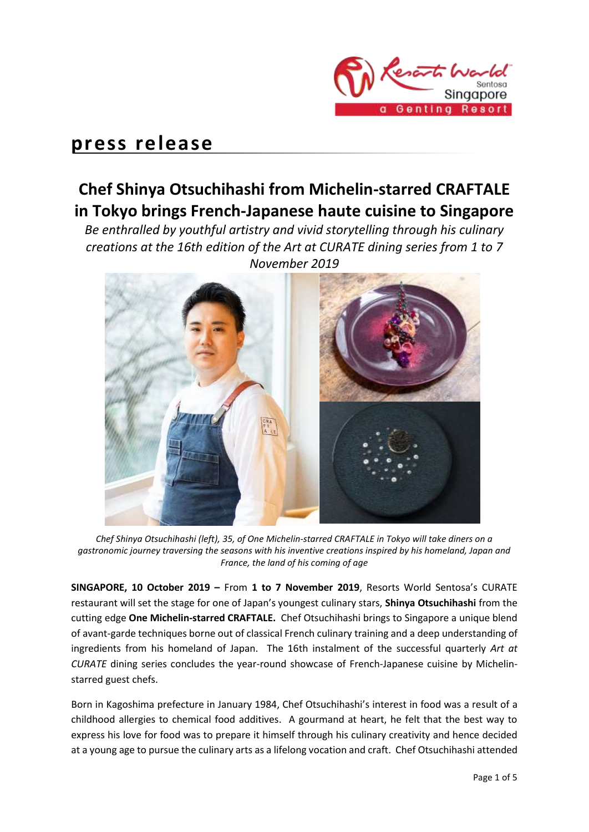

# **press release**

# **Chef Shinya Otsuchihashi from Michelin-starred CRAFTALE in Tokyo brings French-Japanese haute cuisine to Singapore**

*Be enthralled by youthful artistry and vivid storytelling through his culinary creations at the 16th edition of the Art at CURATE dining series from 1 to 7 November 2019*



*Chef Shinya Otsuchihashi (left), 35, of One Michelin-starred CRAFTALE in Tokyo will take diners on a gastronomic journey traversing the seasons with his inventive creations inspired by his homeland, Japan and France, the land of his coming of age*

**SINGAPORE, 10 October 2019 –** From **1 to 7 November 2019**, Resorts World Sentosa's CURATE restaurant will set the stage for one of Japan's youngest culinary stars, **Shinya Otsuchihashi** from the cutting edge **One Michelin-starred CRAFTALE.** Chef Otsuchihashi brings to Singapore a unique blend of avant-garde techniques borne out of classical French culinary training and a deep understanding of ingredients from his homeland of Japan. The 16th instalment of the successful quarterly *Art at CURATE* dining series concludes the year-round showcase of French-Japanese cuisine by Michelinstarred guest chefs.

Born in Kagoshima prefecture in January 1984, Chef Otsuchihashi's interest in food was a result of a childhood allergies to chemical food additives. A gourmand at heart, he felt that the best way to express his love for food was to prepare it himself through his culinary creativity and hence decided at a young age to pursue the culinary arts as a lifelong vocation and craft. Chef Otsuchihashi attended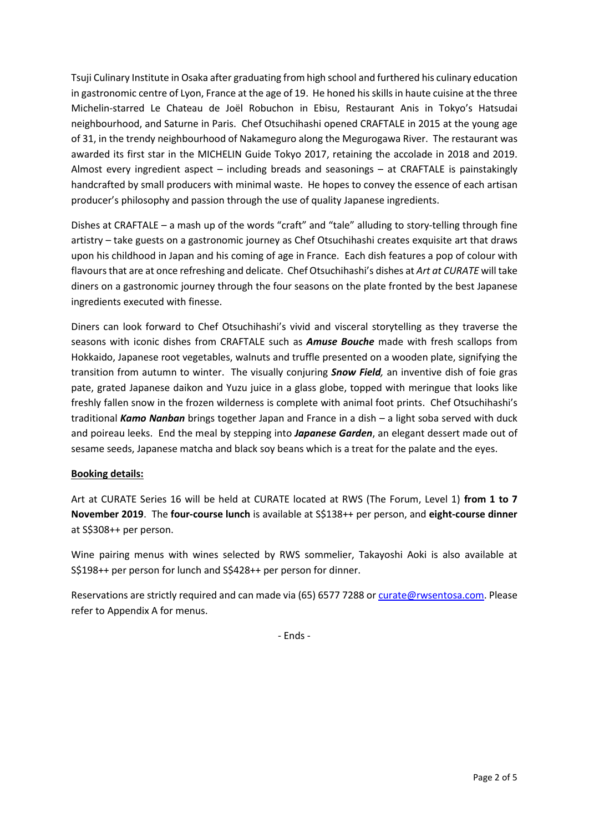Tsuji Culinary Institute in Osaka after graduating from high school and furthered his culinary education in gastronomic centre of Lyon, France at the age of 19. He honed his skills in haute cuisine at the three Michelin-starred Le Chateau de Joël Robuchon in Ebisu, Restaurant Anis in Tokyo's Hatsudai neighbourhood, and Saturne in Paris. Chef Otsuchihashi opened CRAFTALE in 2015 at the young age of 31, in the trendy neighbourhood of Nakameguro along the Megurogawa River. The restaurant was awarded its first star in the MICHELIN Guide Tokyo 2017, retaining the accolade in 2018 and 2019. Almost every ingredient aspect – including breads and seasonings – at CRAFTALE is painstakingly handcrafted by small producers with minimal waste. He hopes to convey the essence of each artisan producer's philosophy and passion through the use of quality Japanese ingredients.

Dishes at CRAFTALE – a mash up of the words "craft" and "tale" alluding to story-telling through fine artistry – take guests on a gastronomic journey as Chef Otsuchihashi creates exquisite art that draws upon his childhood in Japan and his coming of age in France. Each dish features a pop of colour with flavours that are at once refreshing and delicate. Chef Otsuchihashi's dishes at *Art at CURATE* will take diners on a gastronomic journey through the four seasons on the plate fronted by the best Japanese ingredients executed with finesse.

Diners can look forward to Chef Otsuchihashi's vivid and visceral storytelling as they traverse the seasons with iconic dishes from CRAFTALE such as *Amuse Bouche* made with fresh scallops from Hokkaido, Japanese root vegetables, walnuts and truffle presented on a wooden plate, signifying the transition from autumn to winter. The visually conjuring *Snow Field,* an inventive dish of foie gras pate, grated Japanese daikon and Yuzu juice in a glass globe, topped with meringue that looks like freshly fallen snow in the frozen wilderness is complete with animal foot prints. Chef Otsuchihashi's traditional *Kamo Nanban* brings together Japan and France in a dish – a light soba served with duck and poireau leeks. End the meal by stepping into *Japanese Garden*, an elegant dessert made out of sesame seeds, Japanese matcha and black soy beans which is a treat for the palate and the eyes.

## **Booking details:**

Art at CURATE Series 16 will be held at CURATE located at RWS (The Forum, Level 1) **from 1 to 7 November 2019**. The **four-course lunch** is available at S\$138++ per person, and **eight-course dinner**  at S\$308++ per person.

Wine pairing menus with wines selected by RWS sommelier, Takayoshi Aoki is also available at S\$198++ per person for lunch and S\$428++ per person for dinner.

Reservations are strictly required and can made via (65) 6577 7288 or [curate@rwsentosa.com.](mailto:curate@rwsentosa.com) Please refer to Appendix A for menus.

- Ends -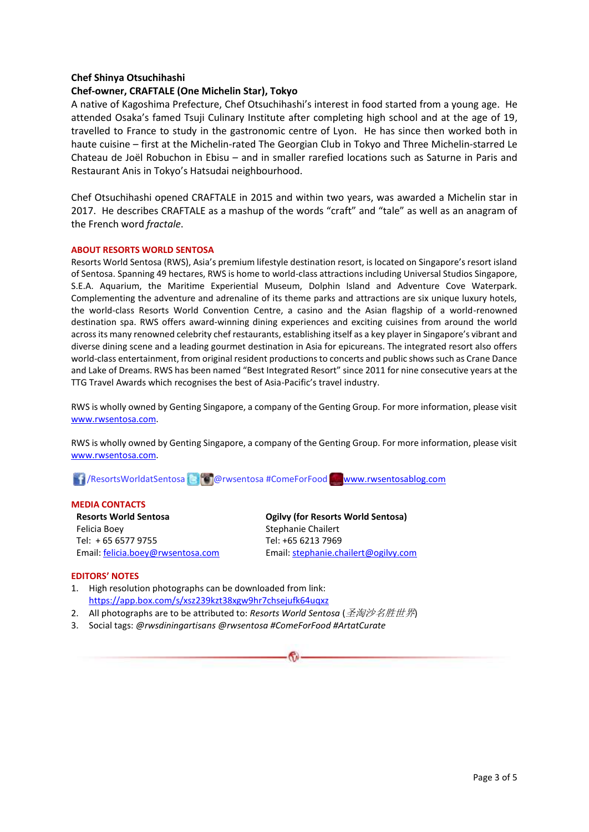### **Chef Shinya Otsuchihashi**

### **Chef-owner, CRAFTALE (One Michelin Star), Tokyo**

A native of Kagoshima Prefecture, Chef Otsuchihashi's interest in food started from a young age. He attended Osaka's famed Tsuji Culinary Institute after completing high school and at the age of 19, travelled to France to study in the gastronomic centre of Lyon. He has since then worked both in haute cuisine – first at the Michelin-rated The Georgian Club in Tokyo and Three Michelin-starred Le Chateau de Joël Robuchon in Ebisu – and in smaller rarefied locations such as Saturne in Paris and Restaurant Anis in Tokyo's Hatsudai neighbourhood.

Chef Otsuchihashi opened CRAFTALE in 2015 and within two years, was awarded a Michelin star in 2017. He describes CRAFTALE as a mashup of the words "craft" and "tale" as well as an anagram of the French word *fractale*.

#### **ABOUT RESORTS WORLD SENTOSA**

Resorts World Sentosa (RWS), Asia's premium lifestyle destination resort, is located on Singapore's resort island of Sentosa. Spanning 49 hectares, RWS is home to world-class attractions including Universal Studios Singapore, S.E.A. Aquarium, the Maritime Experiential Museum, Dolphin Island and Adventure Cove Waterpark. Complementing the adventure and adrenaline of its theme parks and attractions are six unique luxury hotels, the world-class Resorts World Convention Centre, a casino and the Asian flagship of a world-renowned destination spa. RWS offers award-winning dining experiences and exciting cuisines from around the world across its many renowned celebrity chef restaurants, establishing itself as a key player in Singapore's vibrant and diverse dining scene and a leading gourmet destination in Asia for epicureans. The integrated resort also offers world-class entertainment, from original resident productions to concerts and public shows such as Crane Dance and Lake of Dreams. RWS has been named "Best Integrated Resort" since 2011 for nine consecutive years at the TTG Travel Awards which recognises the best of Asia-Pacific's travel industry.

RWS is wholly owned by Genting Singapore, a company of the Genting Group. For more information, please visit [www.rwsentosa.com.](http://www.rwsentosa.com/)

RWS is wholly owned by Genting Singapore, a company of the Genting Group. For more information, please visit [www.rwsentosa.com.](http://www.rwsentosa.com/)

/ResortsWorldatSentosa @rwsentosa #ComeForFood [www.rwsentosablog.com](http://www.rwsentosablog.com/)

#### **MEDIA CONTACTS**

**Resorts World Sentosa** Felicia Boey Tel: + 65 6577 9755 Email[: felicia.boey@rwsentosa.com](mailto:felicia.boey@rwsentosa.com) **Ogilvy (for Resorts World Sentosa)** Stephanie Chailert Tel: +65 6213 7969 Email: [stephanie.chailert@ogilvy.com](mailto:stephanie.chailert@ogilvy.com) 

#### **EDITORS' NOTES**

- 1. High resolution photographs can be downloaded from link: <https://app.box.com/s/xsz239kzt38xgw9hr7chsejufk64uqxz>
- 2. All photographs are to be attributed to: *Resorts World Sentosa* (圣淘沙名胜世界)
- 3. Social tags: *@rwsdiningartisans @rwsentosa #ComeForFood #ArtatCurate*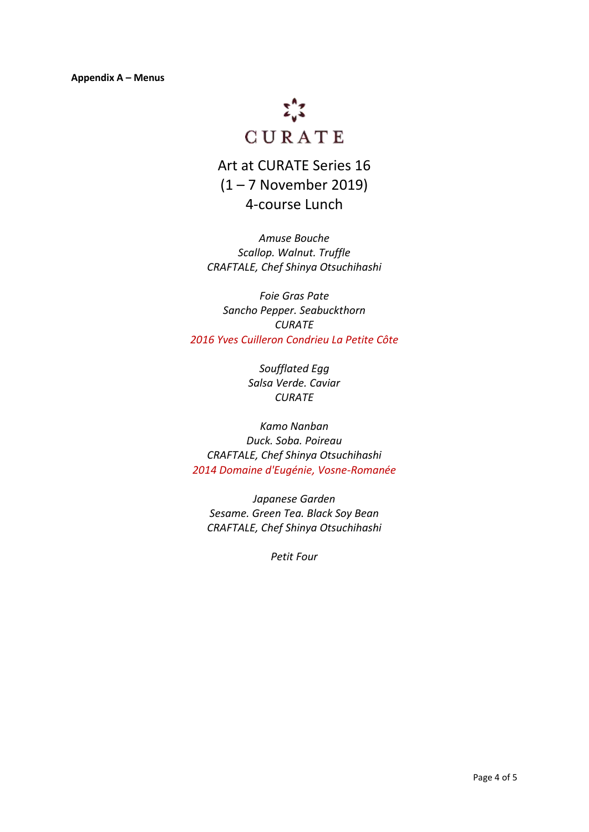

Art at CURATE Series 16 (1 – 7 November 2019) 4-course Lunch

*Amuse Bouche Scallop. Walnut. Truffle CRAFTALE, Chef Shinya Otsuchihashi* 

*Foie Gras Pate Sancho Pepper. Seabuckthorn CURATE 2016 Yves Cuilleron Condrieu La Petite Côte*

> *Soufflated Egg Salsa Verde. Caviar CURATE*

*Kamo Nanban Duck. Soba. Poireau CRAFTALE, Chef Shinya Otsuchihashi 2014 Domaine d'Eugénie, Vosne-Romanée*

*Japanese Garden Sesame. Green Tea. Black Soy Bean CRAFTALE, Chef Shinya Otsuchihashi* 

*Petit Four*